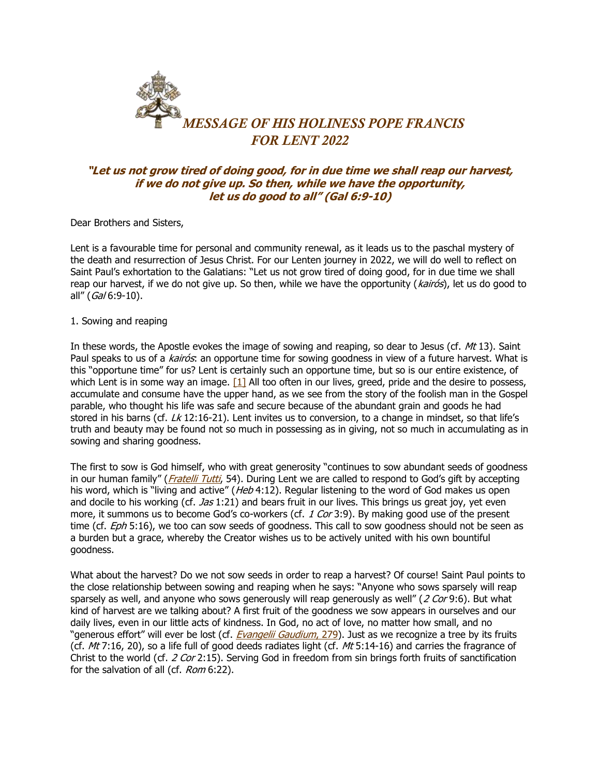

## **"Let us not grow tired of doing good, for in due time we shall reap our harvest, if we do not give up. So then, while we have the opportunity, let us do good to all" (Gal 6:9-10)**

Dear Brothers and Sisters,

Lent is a favourable time for personal and community renewal, as it leads us to the paschal mystery of the death and resurrection of Jesus Christ. For our Lenten journey in 2022, we will do well to reflect on Saint Paul's exhortation to the Galatians: "Let us not grow tired of doing good, for in due time we shall reap our harvest, if we do not give up. So then, while we have the opportunity (kairós), let us do good to all" (Gal 6:9-10).

## 1. Sowing and reaping

In these words, the Apostle evokes the image of sowing and reaping, so dear to Jesus (cf.  $Mt$  13). Saint Paul speaks to us of a *kairós*: an opportune time for sowing goodness in view of a future harvest. What is this "opportune time" for us? Lent is certainly such an opportune time, but so is our entire existence, of which Lent is in some way an image.  $\lceil 1 \rceil$  All too often in our lives, greed, pride and the desire to possess, accumulate and consume have the upper hand, as we see from the story of the foolish man in the Gospel parable, who thought his life was safe and secure because of the abundant grain and goods he had stored in his barns (cf.  $Lk$  12:16-21). Lent invites us to conversion, to a change in mindset, so that life's truth and beauty may be found not so much in possessing as in giving, not so much in accumulating as in sowing and sharing goodness.

The first to sow is God himself, who with great generosity "continues to sow abundant seeds of goodness in our human family" ([Fratelli Tutti](https://www.vatican.va/content/francesco/en/encyclicals/documents/papa-francesco_20201003_enciclica-fratelli-tutti.html), 54). During Lent we are called to respond to God's gift by accepting his word, which is "living and active" (Heb 4:12). Regular listening to the word of God makes us open and docile to his working (cf.  $Jas$  1:21) and bears fruit in our lives. This brings us great joy, yet even more, it summons us to become God's co-workers (cf. 1 Cor 3:9). By making good use of the present time (cf.  $Eph$  5:16), we too can sow seeds of goodness. This call to sow goodness should not be seen as a burden but a grace, whereby the Creator wishes us to be actively united with his own bountiful goodness.

What about the harvest? Do we not sow seeds in order to reap a harvest? Of course! Saint Paul points to the close relationship between sowing and reaping when he says: "Anyone who sows sparsely will reap sparsely as well, and anyone who sows generously will reap generously as well" (2 Cor 9:6). But what kind of harvest are we talking about? A first fruit of the goodness we sow appears in ourselves and our daily lives, even in our little acts of kindness. In God, no act of love, no matter how small, and no "generous effort" will ever be lost (cf. *[Evangelii Gaudium](https://www.vatican.va/content/francesco/en/apost_exhortations/documents/papa-francesco_esortazione-ap_20131124_evangelii-gaudium.html#The_mysterious_working_of_the_risen_Christ_and_his_Spirit)*, 279). Just as we recognize a tree by its fruits (cf.  $Mt$  7:16, 20), so a life full of good deeds radiates light (cf.  $Mt$  5:14-16) and carries the fragrance of Christ to the world (cf. 2 Cor 2:15). Serving God in freedom from sin brings forth fruits of sanctification for the salvation of all (cf. Rom 6:22).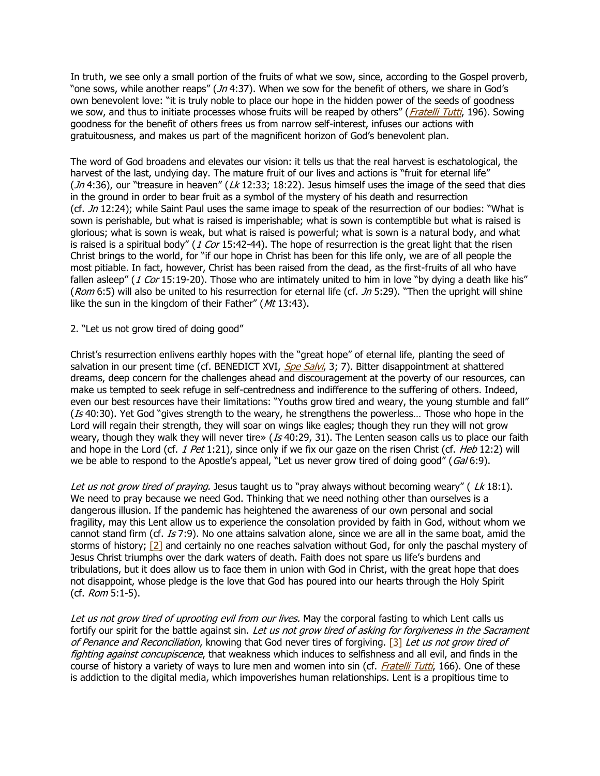In truth, we see only a small portion of the fruits of what we sow, since, according to the Gospel proverb, "one sows, while another reaps" (*Jn* 4:37). When we sow for the benefit of others, we share in God's own benevolent love: "it is truly noble to place our hope in the hidden power of the seeds of goodness we sow, and thus to initiate processes whose fruits will be reaped by others" ([Fratelli Tutti](https://www.vatican.va/content/francesco/en/encyclicals/documents/papa-francesco_20201003_enciclica-fratelli-tutti.html), 196). Sowing goodness for the benefit of others frees us from narrow self-interest, infuses our actions with gratuitousness, and makes us part of the magnificent horizon of God's benevolent plan.

The word of God broadens and elevates our vision: it tells us that the real harvest is eschatological, the harvest of the last, undying day. The mature fruit of our lives and actions is "fruit for eternal life" (*Jn* 4:36), our "treasure in heaven" ( $Lk$  12:33; 18:22). Jesus himself uses the image of the seed that dies in the ground in order to bear fruit as a symbol of the mystery of his death and resurrection (cf.  $Jn$  12:24); while Saint Paul uses the same image to speak of the resurrection of our bodies: "What is sown is perishable, but what is raised is imperishable; what is sown is contemptible but what is raised is glorious; what is sown is weak, but what is raised is powerful; what is sown is a natural body, and what is raised is a spiritual body" (1 Cor 15:42-44). The hope of resurrection is the great light that the risen Christ brings to the world, for "if our hope in Christ has been for this life only, we are of all people the most pitiable. In fact, however, Christ has been raised from the dead, as the first-fruits of all who have fallen asleep" (1 Cor 15:19-20). Those who are intimately united to him in love "by dying a death like his" (Rom 6:5) will also be united to his resurrection for eternal life (cf.  $Jn$  5:29). "Then the upright will shine like the sun in the kingdom of their Father" ( $Mt$  13:43).

## 2. "Let us not grow tired of doing good"

Christ's resurrection enlivens earthly hopes with the "great hope" of eternal life, planting the seed of salvation in our present time (cf. BENEDICT XVI, [Spe Salvi](https://www.vatican.va/content/benedict-xvi/en/encyclicals/documents/hf_ben-xvi_enc_20071130_spe-salvi.html), 3; 7). Bitter disappointment at shattered dreams, deep concern for the challenges ahead and discouragement at the poverty of our resources, can make us tempted to seek refuge in self-centredness and indifference to the suffering of others. Indeed, even our best resources have their limitations: "Youths grow tired and weary, the young stumble and fall" ( $Is$  40:30). Yet God "gives strength to the weary, he strengthens the powerless... Those who hope in the Lord will regain their strength, they will soar on wings like eagles; though they run they will not grow weary, though they walk they will never tire» ( $Is$  40:29, 31). The Lenten season calls us to place our faith and hope in the Lord (cf. 1 Pet 1:21), since only if we fix our gaze on the risen Christ (cf. Heb 12:2) will we be able to respond to the Apostle's appeal, "Let us never grow tired of doing good" ( $Gal(6.9)$ .

Let us not grow tired of praying. Jesus taught us to "pray always without becoming weary" ( $Lk$  18:1). We need to pray because we need God. Thinking that we need nothing other than ourselves is a dangerous illusion. If the pandemic has heightened the awareness of our own personal and social fragility, may this Lent allow us to experience the consolation provided by faith in God, without whom we cannot stand firm (cf. Is 7:9). No one attains salvation alone, since we are all in the same boat, amid the storms of history; [\[2\]](https://www.vatican.va/content/francesco/en/messages/lent/documents/20211111-messaggio-quaresima2022.html#_ftn2) and certainly no one reaches salvation without God, for only the paschal mystery of Jesus Christ triumphs over the dark waters of death. Faith does not spare us life's burdens and tribulations, but it does allow us to face them in union with God in Christ, with the great hope that does not disappoint, whose pledge is the love that God has poured into our hearts through the Holy Spirit (cf. Rom 5:1-5).

Let us not grow tired of uprooting evil from our lives. May the corporal fasting to which Lent calls us fortify our spirit for the battle against sin. Let us not grow tired of asking for forgiveness in the Sacrament of Penance and Reconciliation, knowing that God never tires of forgiving. [\[3\]](https://www.vatican.va/content/francesco/en/messages/lent/documents/20211111-messaggio-quaresima2022.html#_ftn3) Let us not grow tired of fighting against concupiscence, that weakness which induces to selfishness and all evil, and finds in the course of history a variety of ways to lure men and women into sin (cf. [Fratelli Tutti](https://www.vatican.va/content/francesco/en/encyclicals/documents/papa-francesco_20201003_enciclica-fratelli-tutti.html), 166). One of these is addiction to the digital media, which impoverishes human relationships. Lent is a propitious time to